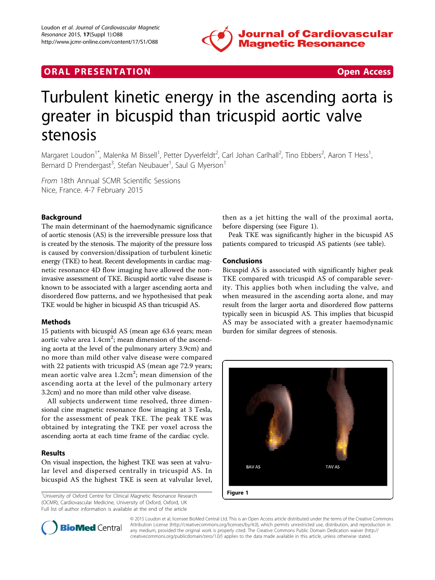

## **ORAL PRESENTATION ORAL PRESENTATION**



# Turbulent kinetic energy in the ascending aorta is greater in bicuspid than tricuspid aortic valve stenosis

Margaret Loudon<sup>1\*</sup>, Malenka M Bissell<sup>1</sup>, Petter Dyverfeldt<sup>2</sup>, Carl Johan Carlhall<sup>2</sup>, Tino Ebbers<sup>2</sup>, Aaron T Hess<sup>1</sup> , Bernard D Prendergast<sup>3</sup>, Stefan Neubauer<sup>1</sup>, Saul G Myerson<sup>1</sup>

From 18th Annual SCMR Scientific Sessions Nice, France. 4-7 February 2015

### Background

The main determinant of the haemodynamic significance of aortic stenosis (AS) is the irreversible pressure loss that is created by the stenosis. The majority of the pressure loss is caused by conversion/dissipation of turbulent kinetic energy (TKE) to heat. Recent developments in cardiac magnetic resonance 4D flow imaging have allowed the noninvasive assessment of TKE. Bicuspid aortic valve disease is known to be associated with a larger ascending aorta and disordered flow patterns, and we hypothesised that peak TKE would be higher in bicuspid AS than tricuspid AS.

#### Methods

15 patients with bicuspid AS (mean age 63.6 years; mean aortic valve area  $1.4 \mathrm{cm}^2$ ; mean dimension of the ascending aorta at the level of the pulmonary artery 3.9cm) and no more than mild other valve disease were compared with 22 patients with tricuspid AS (mean age 72.9 years; mean aortic valve area 1.2cm<sup>2</sup>; mean dimension of the ascending aorta at the level of the pulmonary artery 3.2cm) and no more than mild other valve disease.

All subjects underwent time resolved, three dimensional cine magnetic resonance flow imaging at 3 Tesla, for the assessment of peak TKE. The peak TKE was obtained by integrating the TKE per voxel across the ascending aorta at each time frame of the cardiac cycle.

#### Results

On visual inspection, the highest TKE was seen at valvular level and dispersed centrally in tricuspid AS. In bicuspid AS the highest TKE is seen at valvular level,

<sup>1</sup>University of Oxford Centre for Clinical Magnetic Resonance Research (OCMR), Cardiovascular Medicine, University of Oxford, Oxford, UK Full list of author information is available at the end of the article

then as a jet hitting the wall of the proximal aorta, before dispersing (see Figure 1).

Peak TKE was significantly higher in the bicuspid AS patients compared to tricuspid AS patients (see table).

#### Conclusions

Bicuspid AS is associated with significantly higher peak TKE compared with tricuspid AS of comparable severity. This applies both when including the valve, and when measured in the ascending aorta alone, and may result from the larger aorta and disordered flow patterns typically seen in bicuspid AS. This implies that bicuspid AS may be associated with a greater haemodynamic burden for similar degrees of stenosis.





© 2015 Loudon et al; licensee BioMed Central Ltd. This is an Open Access article distributed under the terms of the Creative Commons Attribution License [\(http://creativecommons.org/licenses/by/4.0](http://creativecommons.org/licenses/by/4.0)), which permits unrestricted use, distribution, and reproduction in any medium, provided the original work is properly cited. The Creative Commons Public Domain Dedication waiver [\(http://](http://creativecommons.org/publicdomain/zero/1.0/) [creativecommons.org/publicdomain/zero/1.0/](http://creativecommons.org/publicdomain/zero/1.0/)) applies to the data made available in this article, unless otherwise stated.